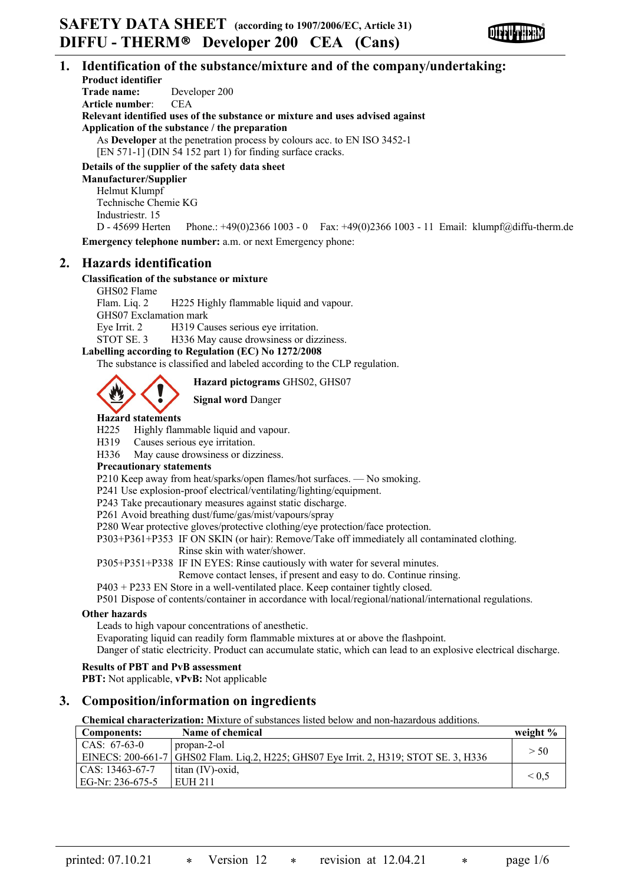

## **1. Identification of the substance/mixture and of the company/undertaking:**

**Product identifier Trade name:** Developer 200 **Article number**: CEA **Relevant identified uses of the substance or mixture and uses advised against Application of the substance / the preparation** As **Developer** at the penetration process by colours acc. to EN ISO 3452-1 [EN 571-1] (DIN 54 152 part 1) for finding surface cracks.

**Details of the supplier of the safety data sheet**

**Manufacturer/Supplier** Helmut Klumpf Technische Chemie KG Industriestr. 15

D - 45699 Herten Phone.: +49(0)2366 1003 - 0 Fax: +49(0)2366 1003 - 11 Email: klumpf@diffu-therm.de **Emergency telephone number:** a.m. or next Emergency phone:

## **2. Hazards identification**

## **Classification of the substance or mixture**

GHS02 Flame Flam. Liq. 2 H225 Highly flammable liquid and vapour. GHS07 Exclamation mark Eye Irrit. 2 H319 Causes serious eye irritation. STOT SE. 3 H336 May cause drowsiness or dizziness.

## **Labelling according to Regulation (EC) No 1272/2008**

The substance is classified and labeled according to the CLP regulation.

**Hazard pictograms** GHS02, GHS07

**Signal word** Danger

# **Hazard statements**

H225 Highly flammable liquid and vapour.

H319 Causes serious eye irritation.

H336 May cause drowsiness or dizziness.

## **Precautionary statements**

P210 Keep away from heat/sparks/open flames/hot surfaces. — No smoking.

P241 Use explosion-proof electrical/ventilating/lighting/equipment.

P243 Take precautionary measures against static discharge.

P261 Avoid breathing dust/fume/gas/mist/vapours/spray

P280 Wear protective gloves/protective clothing/eye protection/face protection.

P303+P361+P353 IF ON SKIN (or hair): Remove/Take off immediately all contaminated clothing.

Rinse skin with water/shower.

P305+P351+P338 IF IN EYES: Rinse cautiously with water for several minutes.

Remove contact lenses, if present and easy to do. Continue rinsing.

P403 + P233 EN Store in a well-ventilated place. Keep container tightly closed.

P501 Dispose of contents/container in accordance with local/regional/national/international regulations.

## **Other hazards**

Leads to high vapour concentrations of anesthetic.

Evaporating liquid can readily form flammable mixtures at or above the flashpoint.

Danger of static electricity. Product can accumulate static, which can lead to an explosive electrical discharge.

## **Results of PBT and PvB assessment**

**PBT:** Not applicable, **vPvB:** Not applicable

## **3. Composition/information on ingredients**

**Chemical characterization: M**ixture of substances listed below and non-hazardous additions.

| <b>Components:</b> | Name of chemical                                                                        | weight $\%$     |
|--------------------|-----------------------------------------------------------------------------------------|-----------------|
| CAS: $67-63-0$     | propan-2-ol                                                                             | > 50            |
|                    | EINECS: 200-661-7   GHS02 Flam. Liq.2, H225; GHS07 Eye Irrit. 2, H319; STOT SE. 3, H336 |                 |
| CAS: 13463-67-7    | titan (IV)-oxid,                                                                        |                 |
| EG-Nr: 236-675-5   | EUH 211                                                                                 | ${}_{\leq 0.5}$ |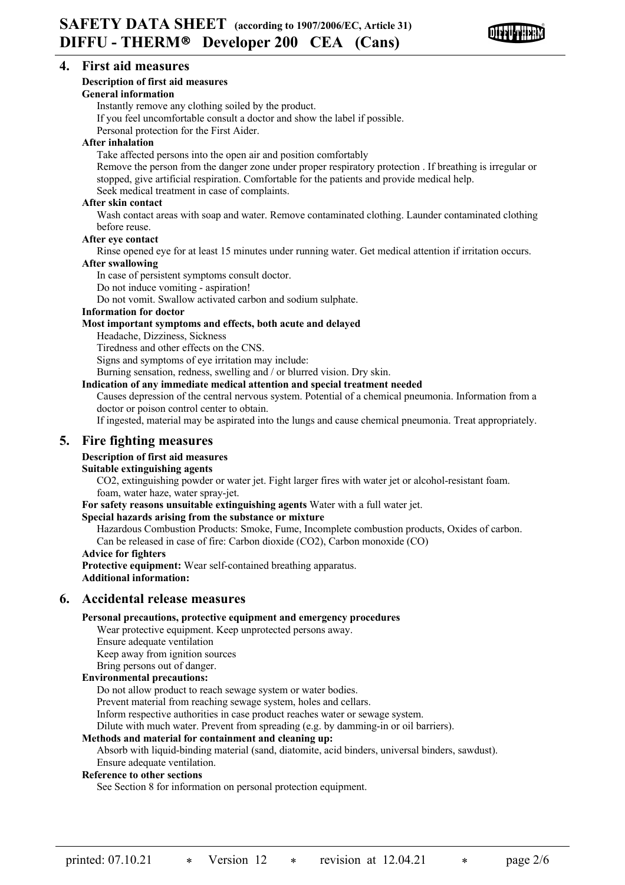

## **4. First aid measures**

## **Description of first aid measures**

## **General information**

Instantly remove any clothing soiled by the product.

If you feel uncomfortable consult a doctor and show the label if possible.

Personal protection for the First Aider.

## **After inhalation**

Take affected persons into the open air and position comfortably

Remove the person from the danger zone under proper respiratory protection . If breathing is irregular or stopped, give artificial respiration. Comfortable for the patients and provide medical help.

Seek medical treatment in case of complaints.

## **After skin contact**

Wash contact areas with soap and water. Remove contaminated clothing. Launder contaminated clothing before reuse.

## **After eye contact**

Rinse opened eye for at least 15 minutes under running water. Get medical attention if irritation occurs.

## **After swallowing**

In case of persistent symptoms consult doctor.

Do not induce vomiting - aspiration!

Do not vomit. Swallow activated carbon and sodium sulphate.

## **Information for doctor**

## **Most important symptoms and effects, both acute and delayed**

Headache, Dizziness, Sickness

Tiredness and other effects on the CNS.

Signs and symptoms of eye irritation may include:

Burning sensation, redness, swelling and / or blurred vision. Dry skin.

## **Indication of any immediate medical attention and special treatment needed**

Causes depression of the central nervous system. Potential of a chemical pneumonia. Information from a doctor or poison control center to obtain.

If ingested, material may be aspirated into the lungs and cause chemical pneumonia. Treat appropriately.

## **5. Fire fighting measures**

## **Description of first aid measures**

## **Suitable extinguishing agents**

CO2, extinguishing powder or water jet. Fight larger fires with water jet or alcohol-resistant foam. foam, water haze, water spray-jet.

**For safety reasons unsuitable extinguishing agents** Water with a full water jet.

## **Special hazards arising from the substance or mixture**

Hazardous Combustion Products: Smoke, Fume, Incomplete combustion products, Oxides of carbon.

Can be released in case of fire: Carbon dioxide (CO2), Carbon monoxide (CO)

## **Advice for fighters**

**Protective equipment:** Wear self-contained breathing apparatus. **Additional information:**

## **6. Accidental release measures**

## **Personal precautions, protective equipment and emergency procedures**

Wear protective equipment. Keep unprotected persons away.

Ensure adequate ventilation

Keep away from ignition sources

Bring persons out of danger.

## **Environmental precautions:**

Do not allow product to reach sewage system or water bodies.

Prevent material from reaching sewage system, holes and cellars.

Inform respective authorities in case product reaches water or sewage system.

Dilute with much water. Prevent from spreading (e.g. by damming-in or oil barriers).

## **Methods and material for containment and cleaning up:**

Absorb with liquid-binding material (sand, diatomite, acid binders, universal binders, sawdust). Ensure adequate ventilation.

## **Reference to other sections**

See Section 8 for information on personal protection equipment.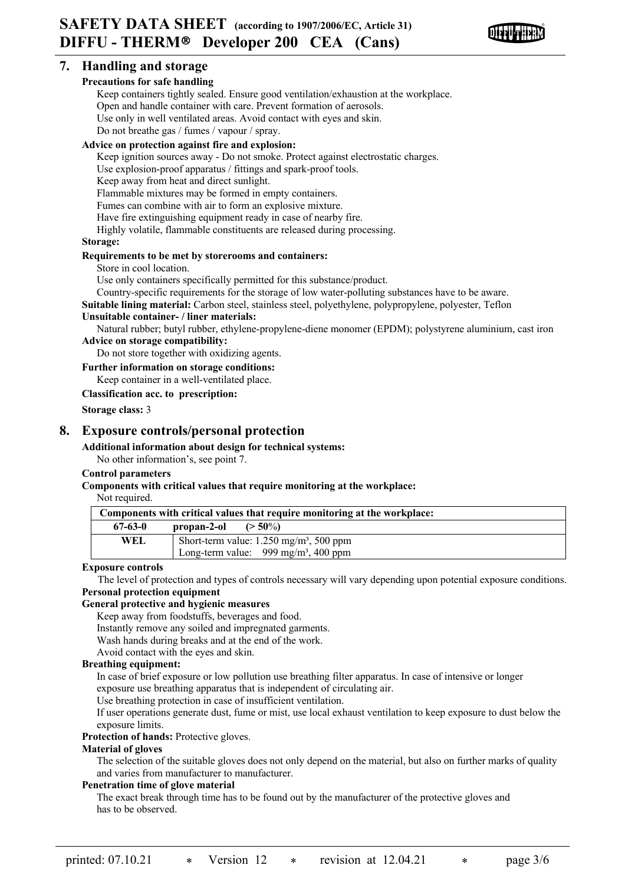

## **7. Handling and storage**

## **Precautions for safe handling**

Keep containers tightly sealed. Ensure good ventilation/exhaustion at the workplace. Open and handle container with care. Prevent formation of aerosols. Use only in well ventilated areas. Avoid contact with eyes and skin. Do not breathe gas / fumes / vapour / spray.

## **Advice on protection against fire and explosion:**

Keep ignition sources away - Do not smoke. Protect against electrostatic charges.

Use explosion-proof apparatus / fittings and spark-proof tools.

Keep away from heat and direct sunlight.

Flammable mixtures may be formed in empty containers.

Fumes can combine with air to form an explosive mixture.

Have fire extinguishing equipment ready in case of nearby fire.

Highly volatile, flammable constituents are released during processing.

## **Storage:**

## **Requirements to be met by storerooms and containers:**

Store in cool location.

Use only containers specifically permitted for this substance/product.

Country-specific requirements for the storage of low water-polluting substances have to be aware.

**Suitable lining material:** Carbon steel, stainless steel, polyethylene, polypropylene, polyester, Teflon

## **Unsuitable container- / liner materials:**

Natural rubber; butyl rubber, ethylene-propylene-diene monomer (EPDM); polystyrene aluminium, cast iron **Advice on storage compatibility:**

Do not store together with oxidizing agents.

#### **Further information on storage conditions:**

Keep container in a well-ventilated place.

**Classification acc. to prescription:**

**Storage class:** 3

## **8. Exposure controls/personal protection**

## **Additional information about design for technical systems:**

No other information's, see point 7.

## **Control parameters**

## **Components with critical values that require monitoring at the workplace:**

Not required.

| Components with critical values that require monitoring at the workplace: |                                                       |  |  |
|---------------------------------------------------------------------------|-------------------------------------------------------|--|--|
| $67 - 63 - 0$                                                             | propan-2-ol<br>$(>50\%)$                              |  |  |
| WEL.                                                                      | Short-term value: $1.250$ mg/m <sup>3</sup> , 500 ppm |  |  |
|                                                                           | Long-term value: $999 \text{ mg/m}^3$ , 400 ppm       |  |  |

#### **Exposure controls**

The level of protection and types of controls necessary will vary depending upon potential exposure conditions. **Personal protection equipment**

## **General protective and hygienic measures**

Keep away from foodstuffs, beverages and food.

Instantly remove any soiled and impregnated garments.

Wash hands during breaks and at the end of the work.

Avoid contact with the eyes and skin.

## **Breathing equipment:**

In case of brief exposure or low pollution use breathing filter apparatus. In case of intensive or longer exposure use breathing apparatus that is independent of circulating air.

Use breathing protection in case of insufficient ventilation.

If user operations generate dust, fume or mist, use local exhaust ventilation to keep exposure to dust below the exposure limits.

#### **Protection of hands:** Protective gloves.

## **Material of gloves**

The selection of the suitable gloves does not only depend on the material, but also on further marks of quality and varies from manufacturer to manufacturer.

## **Penetration time of glove material**

The exact break through time has to be found out by the manufacturer of the protective gloves and has to be observed.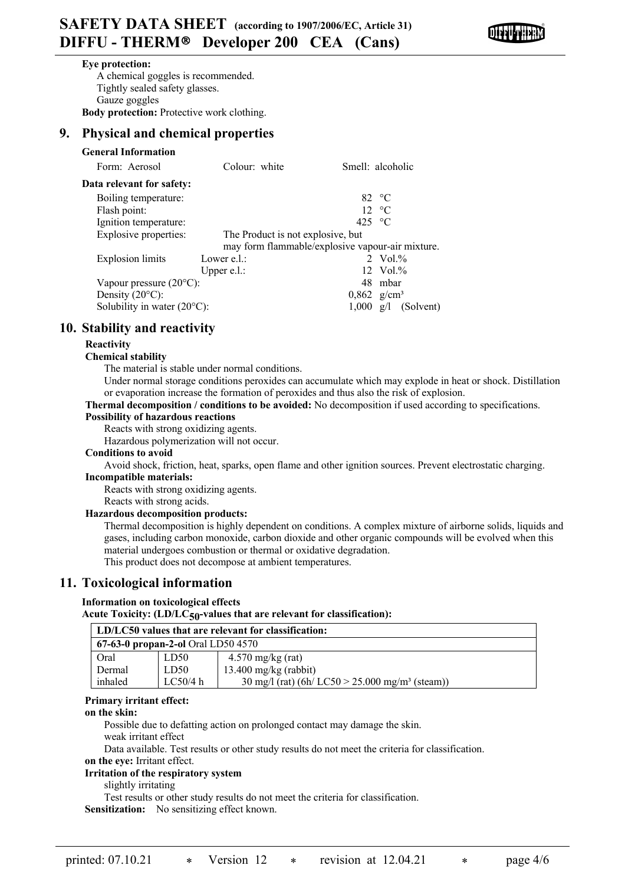

#### **Eye protection:**

A chemical goggles is recommended. Tightly sealed safety glasses. Gauze goggles **Body protection:** Protective work clothing.

## **9. Physical and chemical properties**

| <b>General Information</b>                                 |                                                  |                 |                           |
|------------------------------------------------------------|--------------------------------------------------|-----------------|---------------------------|
| Form: Aerosol                                              | Colour: white                                    |                 | Smell: alcoholic          |
| Data relevant for safety:                                  |                                                  |                 |                           |
| Boiling temperature:                                       |                                                  |                 | 82 $\degree$ C            |
| Flash point:                                               |                                                  |                 | $12 \text{ °C}$           |
| Ignition temperature:                                      |                                                  | 425 $\degree$ C |                           |
| Explosive properties:<br>The Product is not explosive, but |                                                  |                 |                           |
|                                                            | may form flammable/explosive vapour-air mixture. |                 |                           |
| Explosion limits                                           | Lower e.l.:                                      |                 | 2 Vol. $%$                |
|                                                            | Upper $e.l.$ :                                   |                 | $12 \text{ Vol.}\%$       |
| Vapour pressure $(20^{\circ}C)$ :                          |                                                  |                 | 48 mbar                   |
| Density $(20^{\circ}C)$ :                                  |                                                  |                 | $0,862$ g/cm <sup>3</sup> |
| Solubility in water $(20^{\circ}C)$ :                      |                                                  | 1.000           | (Solvent)<br>g/l          |

## **10. Stability and reactivity**

## **Reactivity**

## **Chemical stability**

The material is stable under normal conditions.

Under normal storage conditions peroxides can accumulate which may explode in heat or shock. Distillation or evaporation increase the formation of peroxides and thus also the risk of explosion.

#### **Thermal decomposition / conditions to be avoided:** No decomposition if used according to specifications.

#### **Possibility of hazardous reactions**

Reacts with strong oxidizing agents.

Hazardous polymerization will not occur.

#### **Conditions to avoid**

Avoid shock, friction, heat, sparks, open flame and other ignition sources. Prevent electrostatic charging. **Incompatible materials:**

Reacts with strong oxidizing agents.

## Reacts with strong acids.

## **Hazardous decomposition products:**

Thermal decomposition is highly dependent on conditions. A complex mixture of airborne solids, liquids and gases, including carbon monoxide, carbon dioxide and other organic compounds will be evolved when this material undergoes combustion or thermal or oxidative degradation. This product does not decompose at ambient temperatures.

## **11. Toxicological information**

## **Information on toxicological effects**

Acute Toxicity:  $(LD/LC_{50}$ -values that are relevant for classification):

| LD/LC50 values that are relevant for classification: |                  |                                                                       |  |
|------------------------------------------------------|------------------|-----------------------------------------------------------------------|--|
| $67-63-0$ propan-2-ol Oral LD50 4570                 |                  |                                                                       |  |
| Oral                                                 | LD <sub>50</sub> | $4.570$ mg/kg (rat)                                                   |  |
| Dermal                                               | LD50             | $13.400$ mg/kg (rabbit)                                               |  |
| inhaled                                              | LC50/4 h         | $30 \text{ mg/l}$ (rat) (6h/ LC50 > 25.000 mg/m <sup>3</sup> (steam)) |  |

## **Primary irritant effect:**

#### **on the skin:**

Possible due to defatting action on prolonged contact may damage the skin.

weak irritant effect

Data available. Test results or other study results do not meet the criteria for classification.

#### **on the eye:** Irritant effect. **Irritation of the respiratory system**

slightly irritating

Test results or other study results do not meet the criteria for classification. **Sensitization:** No sensitizing effect known.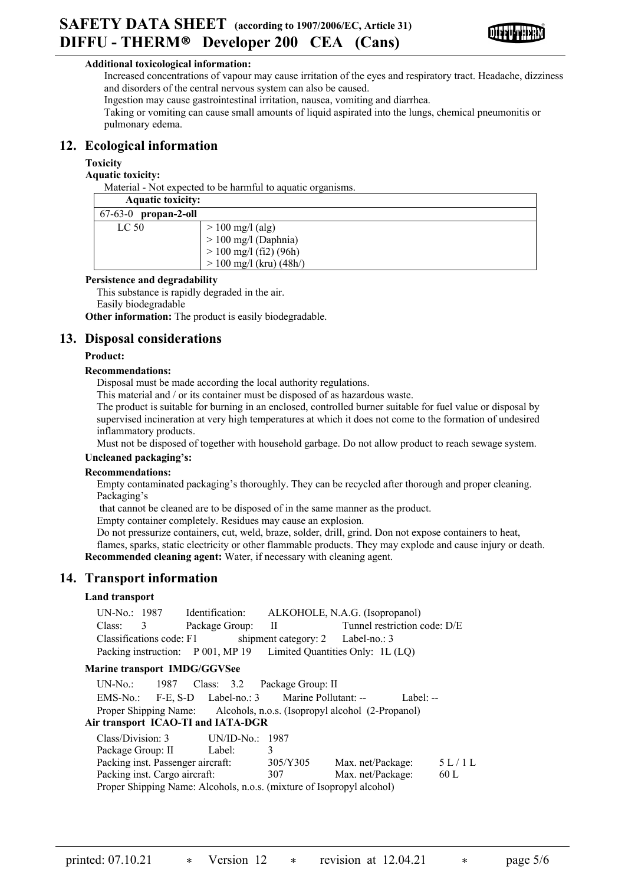

## **Additional toxicological information:**

Increased concentrations of vapour may cause irritation of the eyes and respiratory tract. Headache, dizziness and disorders of the central nervous system can also be caused.

Ingestion may cause gastrointestinal irritation, nausea, vomiting and diarrhea.

Taking or vomiting can cause small amounts of liquid aspirated into the lungs, chemical pneumonitis or pulmonary edema.

## **12. Ecological information**

## **Toxicity**

**Aquatic toxicity:**

Material - Not expected to be harmful to aquatic organisms.

| <b>Aquatic toxicity:</b> |                                                                                                       |
|--------------------------|-------------------------------------------------------------------------------------------------------|
| 67-63-0<br>propan-2-oll  |                                                                                                       |
| LC <sub>50</sub>         | $> 100$ mg/l (alg)<br>$> 100$ mg/l (Daphnia)<br>$> 100$ mg/l (fi2) (96h)<br>$> 100$ mg/l (kru) (48h/) |

## **Persistence and degradability**

This substance is rapidly degraded in the air.

Easily biodegradable

**Other information:** The product is easily biodegradable.

## **13. Disposal considerations**

## **Product:**

## **Recommendations:**

Disposal must be made according the local authority regulations.

This material and / or its container must be disposed of as hazardous waste.

The product is suitable for burning in an enclosed, controlled burner suitable for fuel value or disposal by supervised incineration at very high temperatures at which it does not come to the formation of undesired inflammatory products.

Must not be disposed of together with household garbage. Do not allow product to reach sewage system.

## **Uncleaned packaging's:**

## **Recommendations:**

Empty contaminated packaging's thoroughly. They can be recycled after thorough and proper cleaning. Packaging's

that cannot be cleaned are to be disposed of in the same manner as the product.

Empty container completely. Residues may cause an explosion.

Do not pressurize containers, cut, weld, braze, solder, drill, grind. Don not expose containers to heat, flames, sparks, static electricity or other flammable products. They may explode and cause injury or death. **Recommended cleaning agent:** Water, if necessary with cleaning agent.

## **14. Transport information**

## **Land transport**

|                                                                             |                   | UN-No.: 1987 Identification: ALKOHOLE, N.A.G. (Isopropanol) |                                                                        |       |
|-----------------------------------------------------------------------------|-------------------|-------------------------------------------------------------|------------------------------------------------------------------------|-------|
| Class:<br>$\overline{3}$                                                    | Package Group: II |                                                             | Tunnel restriction code: D/E                                           |       |
| Classifications code: F1                                                    |                   | shipment category: 2 Label-no.: 3                           |                                                                        |       |
|                                                                             |                   |                                                             | Packing instruction: P 001, MP 19 Limited Quantities Only: 1L (LQ)     |       |
| <b>Marine transport IMDG/GGVSee</b>                                         |                   |                                                             |                                                                        |       |
| UN-No.: 1987 Class: 3.2 Package Group: II                                   |                   |                                                             |                                                                        |       |
| EMS-No.: F-E, S-D Label-no.: 3 Marine Pollutant: -- Label: --               |                   |                                                             |                                                                        |       |
|                                                                             |                   |                                                             | Proper Shipping Name: Alcohols, n.o.s. (Isopropyl alcohol (2-Propanol) |       |
| Air transport ICAO-TI and IATA-DGR                                          |                   |                                                             |                                                                        |       |
| Class/Division: 3 UN/ID-No.: 1987                                           |                   |                                                             |                                                                        |       |
| Package Group: II Label:                                                    |                   | 3                                                           |                                                                        |       |
| Packing inst. Passenger aircraft: 305/Y305                                  |                   |                                                             | Max. net/Package:                                                      | 5L/1L |
| Packing inst. Cargo aircraft:                                               |                   | 307                                                         | Max. net/Package:                                                      | 60 L  |
| <b>Droper Shipping Name: Algohols n.o.s.</b> (mixture of Isoprany) algohol) |                   |                                                             |                                                                        |       |

Proper Shipping Name: Alcohols, n.o.s. (mixture of Isopropyl alcohol)